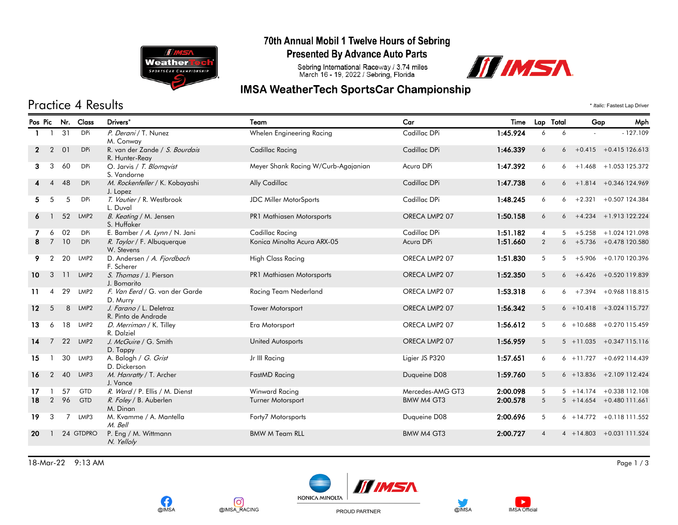

### 70th Annual Mobil 1 Twelve Hours of Sebring

**Presented By Advance Auto Parts** 

Sebring International Raceway / 3.74 miles<br>March 16 - 19, 2022 / Sebring, Florida



## **IMSA WeatherTech SportsCar Championship**

# Practice 4 Results \* *Italic:* Fastest Lap Driver

|                 |                |    | Pos Pic Nr. Class | Drivers*                                         | Team                                | Car              | Time     | Lap Total       |   | Gap | Mph                         |
|-----------------|----------------|----|-------------------|--------------------------------------------------|-------------------------------------|------------------|----------|-----------------|---|-----|-----------------------------|
|                 |                | 31 | <b>DPi</b>        | P. Derani / T. Nunez<br>M. Conway                | Whelen Engineering Racing           | Cadillac DPi     | 1:45.924 | 6               | 6 |     | $-127.109$                  |
| $\mathbf{2}$    | $\overline{2}$ | 01 | <b>DPi</b>        | R. van der Zande / S. Bourdais<br>R. Hunter-Reay | Cadillac Racing                     | Cadillac DPi     | 1:46.339 | 6               |   |     | $6 + 0.415 + 0.415126.613$  |
| 3               | 3              | 60 | <b>DPi</b>        | O. Jarvis / T. Blomqvist<br>S. Vandorne          | Meyer Shank Racing W/Curb-Agajanian | Acura DPi        | 1:47.392 | 6               |   |     | $6 + 1.468 + 1.053125.372$  |
|                 | $\overline{A}$ | 48 | DPi               | M. Rockenfeller / K. Kobayashi<br>J. Lopez       | Ally Cadillac                       | Cadillac DPi     | 1:47.738 | 6               |   |     | $6 + 1.814 + 0.346124.969$  |
| 5.              | -5             | 5  | <b>DPi</b>        | T. Vautier / R. Westbrook<br>L. Duval            | <b>JDC Miller MotorSports</b>       | Cadillac DPi     | 1:48.245 | 6               |   |     | $6 + 2.321 + 0.507124.384$  |
|                 |                | 52 | LMP <sub>2</sub>  | B. Keating / M. Jensen<br>S. Huffaker            | PR1 Mathiasen Motorsports           | ORECA LMP2 07    | 1:50.158 | 6               |   |     | $6 + 4.234 + 1.913122.224$  |
|                 | 6              | 02 | <b>DPi</b>        | E. Bamber / A. Lynn / N. Jani                    | Cadillac Racing                     | Cadillac DPi     | 1:51.182 | $\overline{4}$  | 5 |     | $+5.258 + 1.024$ 121.098    |
|                 | 7              | 10 | <b>DPi</b>        | R. Taylor / F. Albuquerque<br>W. Stevens         | Konica Minolta Acura ARX-05         | Acura DPi        | 1:51.660 | $\overline{2}$  |   |     | $6 + 5.736 + 0.478120.580$  |
| 9.              | 2              | 20 | LMP <sub>2</sub>  | D. Andersen / A. Fjordbach<br>F. Scherer         | <b>High Class Racing</b>            | ORECA LMP2 07    | 1:51.830 | 5               |   |     | $5 + 5.906 + 0.170120.396$  |
| 10 <sup>°</sup> | 3              | 11 | LMP <sub>2</sub>  | S. Thomas / J. Pierson<br>J. Bomarito            | PR1 Mathiasen Motorsports           | ORECA LMP2 07    | 1:52.350 | $5\overline{)}$ |   |     | $6 + 6.426 + 0.520119.839$  |
| 11.             | $\overline{4}$ | 29 | LMP2              | F. Van Eerd / G. van der Garde<br>D. Murry       | Racing Team Nederland               | ORECA LMP2 07    | 1:53.318 | 6               |   |     | $6 + 7.394 + 0.968118.815$  |
| 12 <sup>°</sup> | 5              | 8  | LMP <sub>2</sub>  | J. Farano / L. Deletraz<br>R. Pinto de Andrade   | <b>Tower Motorsport</b>             | ORECA LMP2 07    | 1:56.342 | 5 <sup>5</sup>  |   |     | $6 + 10.418 + 3.024115.727$ |
| 13              | 6              | 18 | LMP <sub>2</sub>  | D. Merriman / K. Tilley<br>R. Dalziel            | Era Motorsport                      | ORECA LMP2 07    | 1:56.612 | 5               |   |     | $6 + 10.688 + 0.270115.459$ |
| 14              | 7              | 22 | LMP <sub>2</sub>  | J. McGuire / G. Smith<br>D. Tappy                | United Autosports                   | ORECA LMP2 07    | 1:56.959 | $5\overline{)}$ |   |     | $5 + 11.035 + 0.347115.116$ |
| 15              |                | 30 | LMP3              | A. Balogh / G. Grist<br>D. Dickerson             | Jr III Racing                       | Ligier JS P320   | 1:57.651 | 6               |   |     | $6 + 11.727 + 0.692114.439$ |
| 16              | $\overline{2}$ | 40 | LMP3              | M. Hanratty / T. Archer<br>J. Vance              | FastMD Racing                       | Duqueine D08     | 1:59.760 | 5 <sup>5</sup>  |   |     | $6 + 13.836 + 2.109112.424$ |
| 17              |                | 57 | GTD               | R. Ward / P. Ellis / M. Dienst                   | <b>Winward Racing</b>               | Mercedes-AMG GT3 | 2:00.098 | 5               |   |     | $5 + 14.174 + 0.338112.108$ |
| 18              | $\overline{2}$ | 96 | GTD               | R. Foley / B. Auberlen<br>M. Dinan               | <b>Turner Motorsport</b>            | BMW M4 GT3       | 2:00.578 | 5 <sup>5</sup>  |   |     | 5 +14.654 +0.480 111.661    |
| 19              | 3              | 7  | LMP3              | M. Kvamme / A. Mantella<br>M. Bell               | Forty7 Motorsports                  | Duqueine D08     | 2:00.696 | 5               |   |     | $6 + 14.772 + 0.118111.552$ |
| 20              |                |    | 24 GTDPRO         | P. Eng / M. Wittmann<br>N. Yelloly               | <b>BMW M Team RLL</b>               | BMW M4 GT3       | 2:00.727 | $\overline{4}$  |   |     | 4 + 14.803 + 0.031 111.524  |

18-Mar-22 9:13 AM Page 1 / 3







PROUD PARTNER



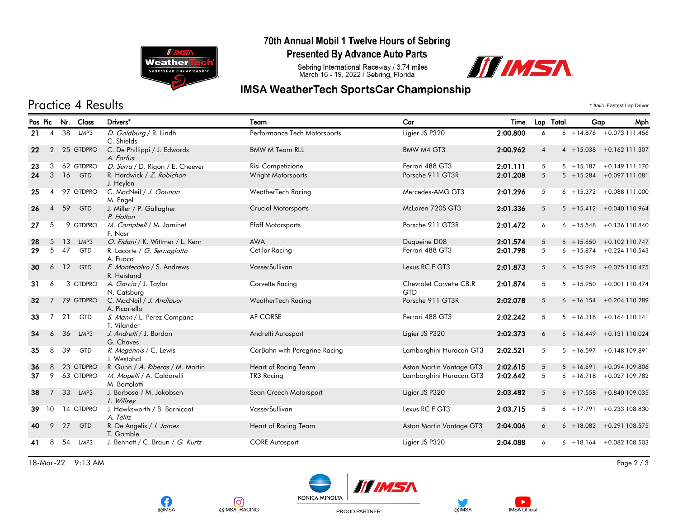

**OIMSA** 

രി

@IMSA\_RACING

#### 70th Annual Mobil 1 Twelve Hours of Sebring

**Presented By Advance Auto Parts** 

Sebring International Raceway / 3.74 miles<br>March 16 - 19, 2022 / Sebring, Florida



## **IMSA WeatherTech SportsCar Championship**

# Practice 4 Results \* *Italic:* Fastest Lap Driver

| Pos Pic |                 | Nr. | Class      | Drivers*                                    | Team                          | Car                            | Time     |                 | Lap Total<br>Gap | Mph                         |
|---------|-----------------|-----|------------|---------------------------------------------|-------------------------------|--------------------------------|----------|-----------------|------------------|-----------------------------|
| 21      | $\overline{4}$  | 38  | LMP3       | D. Goldburg / R. Lindh<br>C. Shields        | Performance Tech Motorsports  | Ligier JS P320                 | 2:00.800 | 6               |                  | $6 + 14.876 + 0.073111.456$ |
| 22      | $\overline{2}$  |     | 25 GTDPRO  | C. De Phillippi / J. Edwards<br>A. Farfus   | <b>BMW M Team RLL</b>         | BMW M4 GT3                     | 2:00.962 | $\overline{4}$  |                  | $4 + 15.038 + 0.162111.307$ |
| 23      | 3               |     | 62 GTDPRO  | D. Serra / D. Rigon / E. Cheever            | Risi Competizione             | Ferrari 488 GT3                | 2:01.111 | 5               |                  | $5 + 15.187 + 0.149111.170$ |
| 24      | 3               | 16  | <b>GTD</b> | R. Hardwick / Z. Robichon<br>J. Heylen      | <b>Wright Motorsports</b>     | Porsche 911 GT3R               | 2:01.208 | 5               |                  | 5 +15.284 +0.097 111.081    |
| 25      | 4               |     | 97 GTDPRO  | C. MacNeil / J. Gounon<br>M. Engel          | WeatherTech Racing            | Mercedes-AMG GT3               | 2:01.296 | 5               |                  | $6 + 15.372 + 0.088111.000$ |
| 26      | $\overline{4}$  | 59  | GTD        | J. Miller / P. Gallagher<br>P. Holton       | <b>Crucial Motorsports</b>    | McLaren 720S GT3               | 2:01.336 | $5\overline{)}$ |                  | 5 +15.412 +0.040 110.964    |
| 27      | 5               |     | 9 GTDPRO   | M. Campbell / M. Jaminet<br>F. Nasr         | <b>Pfaff Motorsports</b>      | Porsche 911 GT3R               | 2:01.472 | 6               |                  | $6 + 15.548 + 0.136110.840$ |
| 28      | 5               | 13  | LMP3       | O. Fidani / K. Wittmer / L. Kern            | <b>AWA</b>                    | Duqueine D08                   | 2:01.574 | $5\overline{)}$ |                  | $6 + 15.650 + 0.102110.747$ |
| 29      | 5               | 47  | <b>GTD</b> | R. Lacorte / G. Sernagiotto<br>A. Fuoco     | Cetilar Racing                | Ferrari 488 GT3                | 2:01.798 | $5\overline{)}$ |                  | $6 + 15.874 + 0.224110.543$ |
| 30      | 6               | 12  | GTD        | F. Montecalvo / S. Andrews<br>R. Heistand   | VasserSullivan                | Lexus RC F GT3                 | 2:01.873 | 5               |                  | $6 + 15.949 + 0.075110.475$ |
| 31      | 6               |     | 3 GTDPRO   | A. Garcia / J. Taylor<br>N. Catsburg        | Corvette Racing               | Chevrolet Corvette C8.R<br>GTD | 2:01.874 | 5               |                  | 5 +15.950 +0.001 110.474    |
| 32      | $7^{\circ}$     |     | 79 GTDPRO  | C. MacNeil / J. Andlauer<br>A. Picariello   | WeatherTech Racing            | Porsche 911 GT3R               | 2:02.078 | $5\overline{)}$ |                  | $6 + 16.154 + 0.204110.289$ |
| 33      | 7               | 21  | <b>GTD</b> | S. Mann / L. Perez Companc<br>T. Vilander   | AF CORSE                      | Ferrari 488 GT3                | 2:02.242 | 5               |                  | $5 + 16.318 + 0.164110.141$ |
| 34      | 6               | 36  | LMP3       | J. Andretti / J. Burdon<br>G. Chaves        | Andretti Autosport            | Ligier JS P320                 | 2:02.373 | 6               |                  | $6 + 16.449 + 0.131110.024$ |
| 35      | 8               | 39  | <b>GTD</b> | R. Megennis / C. Lewis<br>J. Westphal       | CarBahn with Peregrine Racing | Lamborghini Huracan GT3        | 2:02.521 | $5^{\circ}$     | $5 + 16.597$     | +0.148 109.891              |
| 36      | 8               |     | 23 GTDPRO  | R. Gunn / A. Riberas / M. Martin            | Heart of Racing Team          | Aston Martin Vantage GT3       | 2:02.615 | 5               | $5 + 16.691$     | +0.094 109.806              |
| 37      | 9               |     | 63 GTDPRO  | M. Mapelli / A. Caldarelli<br>M. Bortolotti | TR3 Racing                    | Lamborghini Huracan GT3        | 2:02.642 | 5               |                  | $6 + 16.718 + 0.027109.782$ |
| 38      | $\overline{7}$  | 33  | LMP3       | J. Barbosa / M. Jakobsen<br>L. Willsey      | Sean Creech Motorsport        | Ligier JS P320                 | 2:03.482 | 5               |                  | $6 + 17.558 + 0.840109.035$ |
| 39      | 10 <sup>°</sup> |     | 14 GTDPRO  | J. Hawksworth / B. Barnicoat<br>A. Telitz   | VasserSullivan                | Lexus RC F GT3                 | 2:03.715 | $5^{\circ}$     |                  | $6 + 17.791 + 0.233108.830$ |
| 40      | 9               | 27  | GTD        | R. De Angelis / I. James<br>T. Gamble       | Heart of Racing Team          | Aston Martin Vantage GT3       | 2:04.006 | 6               |                  | $6 + 18.082 + 0.291108.575$ |
| 41      | 8               | 54  | LMP3       | J. Bennett / C. Braun / G. Kurtz            | <b>CORE Autosport</b>         | Ligier JS P320                 | 2:04.088 | 6               |                  | $6 + 18.164 + 0.082108.503$ |

18-Mar-22 9:13 AM Page 2 / 3



PROUD PARTNER



 $\blacktriangleright$ 

**IMSA Official**